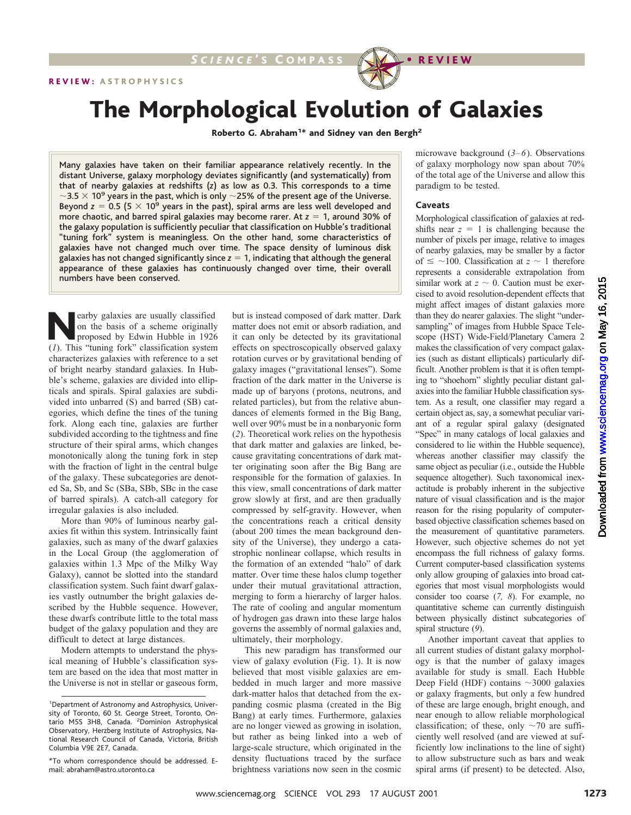

# The Morphological Evolution of Galaxies

Roberto G. Abraham<sup>1\*</sup> and Sidney van den Bergh<sup>2</sup>

Many galaxies have taken on their familiar appearance relatively recently. In the distant Universe, galaxy morphology deviates significantly (and systematically) from that of nearby galaxies at redshifts (*z*) as low as 0.3. This corresponds to a time  $\sim$ 3.5  $\times$  10<sup>9</sup> years in the past, which is only  $\sim$  25% of the present age of the Universe. Beyond  $z = 0.5$  (5  $\times$  10<sup>9</sup> years in the past), spiral arms are less well developed and more chaotic, and barred spiral galaxies may become rarer. At  $z = 1$ , around 30% of the galaxy population is sufficiently peculiar that classification on Hubble's traditional "tuning fork" system is meaningless. On the other hand, some characteristics of galaxies have not changed much over time. The space density of luminous disk galaxies has not changed significantly since  $z = 1$ , indicating that although the general appearance of these galaxies has continuously changed over time, their overall numbers have been conserved.

earby galaxies are usually classified on the basis of a scheme originally proposed by Edwin Hubble in 1926 (*1*). This "tuning fork" classification system characterizes galaxies with reference to a set of bright nearby standard galaxies. In Hubble's scheme, galaxies are divided into ellipticals and spirals. Spiral galaxies are subdivided into unbarred (S) and barred (SB) categories, which define the tines of the tuning fork. Along each tine, galaxies are further subdivided according to the tightness and fine structure of their spiral arms, which changes monotonically along the tuning fork in step with the fraction of light in the central bulge of the galaxy. These subcategories are denoted Sa, Sb, and Sc (SBa, SBb, SBc in the case of barred spirals). A catch-all category for irregular galaxies is also included.

More than 90% of luminous nearby galaxies fit within this system. Intrinsically faint galaxies, such as many of the dwarf galaxies in the Local Group (the agglomeration of galaxies within 1.3 Mpc of the Milky Way Galaxy), cannot be slotted into the standard classification system. Such faint dwarf galaxies vastly outnumber the bright galaxies described by the Hubble sequence. However, these dwarfs contribute little to the total mass budget of the galaxy population and they are difficult to detect at large distances.

Modern attempts to understand the physical meaning of Hubble's classification system are based on the idea that most matter in the Universe is not in stellar or gaseous form,

but is instead composed of dark matter. Dark matter does not emit or absorb radiation, and it can only be detected by its gravitational effects on spectroscopically observed galaxy rotation curves or by gravitational bending of galaxy images ("gravitational lenses"). Some fraction of the dark matter in the Universe is made up of baryons (protons, neutrons, and related particles), but from the relative abundances of elements formed in the Big Bang, well over 90% must be in a nonbaryonic form (*2*). Theoretical work relies on the hypothesis that dark matter and galaxies are linked, because gravitating concentrations of dark matter originating soon after the Big Bang are responsible for the formation of galaxies. In this view, small concentrations of dark matter grow slowly at first, and are then gradually compressed by self-gravity. However, when the concentrations reach a critical density (about 200 times the mean background density of the Universe), they undergo a catastrophic nonlinear collapse, which results in the formation of an extended "halo" of dark matter. Over time these halos clump together under their mutual gravitational attraction, merging to form a hierarchy of larger halos. The rate of cooling and angular momentum of hydrogen gas drawn into these large halos governs the assembly of normal galaxies and, ultimately, their morphology.

This new paradigm has transformed our view of galaxy evolution (Fig. 1). It is now believed that most visible galaxies are embedded in much larger and more massive dark-matter halos that detached from the expanding cosmic plasma (created in the Big Bang) at early times. Furthermore, galaxies are no longer viewed as growing in isolation, but rather as being linked into a web of large-scale structure, which originated in the density fluctuations traced by the surface brightness variations now seen in the cosmic

microwave background (*3–6*). Observations of galaxy morphology now span about 70% of the total age of the Universe and allow this paradigm to be tested.

#### **Caveats**

Morphological classification of galaxies at redshifts near  $z = 1$  is challenging because the number of pixels per image, relative to images of nearby galaxies, may be smaller by a factor of  $\leq$  ~100. Classification at *z* ~ 1 therefore represents a considerable extrapolation from similar work at  $z \sim 0$ . Caution must be exercised to avoid resolution-dependent effects that might affect images of distant galaxies more than they do nearer galaxies. The slight "undersampling" of images from Hubble Space Telescope (HST) Wide-Field/Planetary Camera 2 makes the classification of very compact galaxies (such as distant ellipticals) particularly difficult. Another problem is that it is often tempting to "shoehorn" slightly peculiar distant galaxies into the familiar Hubble classification system. As a result, one classifier may regard a certain object as, say, a somewhat peculiar variant of a regular spiral galaxy (designated "Spec" in many catalogs of local galaxies and considered to lie within the Hubble sequence), whereas another classifier may classify the same object as peculiar (i.e., outside the Hubble sequence altogether). Such taxonomical inexactitude is probably inherent in the subjective nature of visual classification and is the major reason for the rising popularity of computerbased objective classification schemes based on the measurement of quantitative parameters. However, such objective schemes do not yet encompass the full richness of galaxy forms. Current computer-based classification systems only allow grouping of galaxies into broad categories that most visual morphologists would consider too coarse (*7, 8*). For example, no quantitative scheme can currently distinguish between physically distinct subcategories of spiral structure (*9*). wind, that is instand composed of dark matter. Or is wiseles to consist a might affect images of datam galaxies need to the might affect images of datam galaxies measures of the might and the might of the might affects on

Another important caveat that applies to all current studies of distant galaxy morphology is that the number of galaxy images available for study is small. Each Hubble Deep Field (HDF) contains  $\sim$ 3000 galaxies or galaxy fragments, but only a few hundred of these are large enough, bright enough, and near enough to allow reliable morphological classification; of these, only  $\sim$ 70 are sufficiently well resolved (and are viewed at sufficiently low inclinations to the line of sight) to allow substructure such as bars and weak spiral arms (if present) to be detected. Also,

<sup>1</sup> Department of Astronomy and Astrophysics, University of Toronto, 60 St. George Street, Toronto, Ontario M5S 3H8, Canada. <sup>2</sup> Dominion Astrophysical Observatory, Herzberg Institute of Astrophysics, National Research Council of Canada, Victoria, British Columbia V9E 2E7, Canada.

<sup>\*</sup>To whom correspondence should be addressed. Email: abraham@astro.utoronto.ca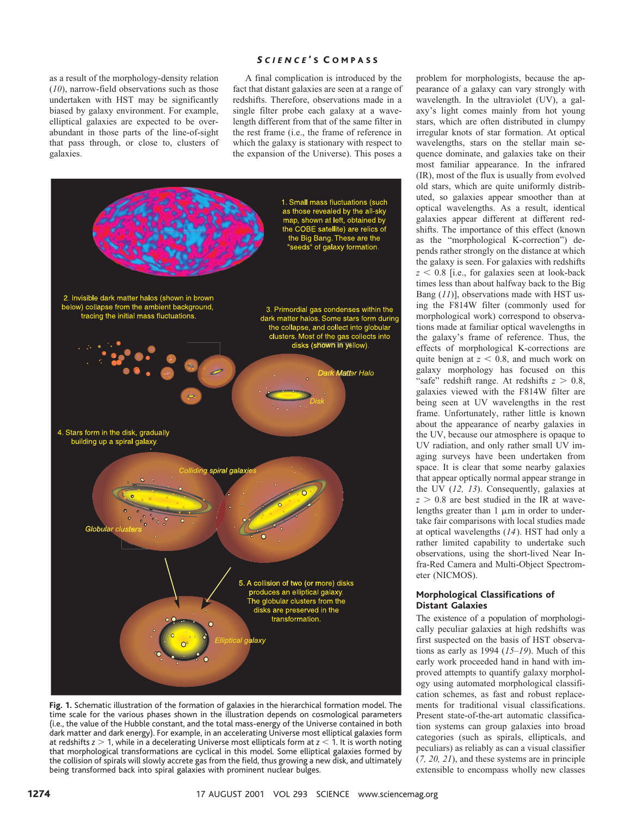as a result of the morphology-density relation (*10*), narrow-field observations such as those undertaken with HST may be significantly biased by galaxy environment. For example, elliptical galaxies are expected to be overabundant in those parts of the line-of-sight that pass through, or close to, clusters of galaxies.

## *S CIENCE* ' S C OMPASS

A final complication is introduced by the fact that distant galaxies are seen at a range of redshifts. Therefore, observations made in a single filter probe each galaxy at a wavelength different from that of the same filter in the rest frame (i.e., the frame of reference in which the galaxy is stationary with respect to the expansion of the Universe). This poses a



**Fig. 1.** Schematic illustration of the formation of galaxies in the hierarchical formation model. The time scale for the various phases shown in the illustration depends on cosmological parameters (i.e., the value of the Hubble constant, and the total mass-energy of the Universe contained in both dark matter and dark energy). For example, in an accelerating Universe most elliptical galaxies form at redshifts *z* > 1, while in a decelerating Universe most ellipticals form at *z* < 1. It is worth noting that morphological transformations are cyclical in this model. Some elliptical galaxies formed by the collision of spirals will slowly accrete gas from the field, thus growing a new disk, and ultimately being transformed back into spiral galaxies with prominent nuclear bulges.

problem for morphologists, because the appearance of a galaxy can vary strongly with wavelength. In the ultraviolet (UV), a galaxy's light comes mainly from hot young stars, which are often distributed in clumpy irregular knots of star formation. At optical wavelengths, stars on the stellar main sequence dominate, and galaxies take on their most familiar appearance. In the infrared (IR), most of the flux is usually from evolved old stars, which are quite uniformly distributed, so galaxies appear smoother than at optical wavelengths. As a result, identical galaxies appear different at different redshifts. The importance of this effect (known as the "morphological K-correction") depends rather strongly on the distance at which the galaxy is seen. For galaxies with redshifts  $z < 0.8$  [i.e., for galaxies seen at look-back] times less than about halfway back to the Big Bang (*11*)], observations made with HST using the F814W filter (commonly used for morphological work) correspond to observations made at familiar optical wavelengths in the galaxy's frame of reference. Thus, the effects of morphological K-corrections are quite benign at  $z \le 0.8$ , and much work on galaxy morphology has focused on this "safe" redshift range. At redshifts  $z > 0.8$ , galaxies viewed with the F814W filter are being seen at UV wavelengths in the rest frame. Unfortunately, rather little is known about the appearance of nearby galaxies in the UV, because our atmosphere is opaque to UV radiation, and only rather small UV imaging surveys have been undertaken from space. It is clear that some nearby galaxies that appear optically normal appear strange in the UV (*12, 13*). Consequently, galaxies at  $z > 0.8$  are best studied in the IR at wavelengths greater than  $1 \mu m$  in order to undertake fair comparisons with local studies made at optical wavelengths (*14*). HST had only a rather limited capability to undertake such observations, using the short-lived Near Infra-Red Camera and Multi-Object Spectrometer (NICMOS).

## **Morphological Classifications of Distant Galaxies**

The existence of a population of morphologically peculiar galaxies at high redshifts was first suspected on the basis of HST observations as early as 1994 (*15–19*). Much of this early work proceeded hand in hand with improved attempts to quantify galaxy morphology using automated morphological classification schemes, as fast and robust replacements for traditional visual classifications. Present state-of-the-art automatic classification systems can group galaxies into broad categories (such as spirals, ellipticals, and peculiars) as reliably as can a visual classifier (*7, 20, 21*), and these systems are in principle extensible to encompass wholly new classes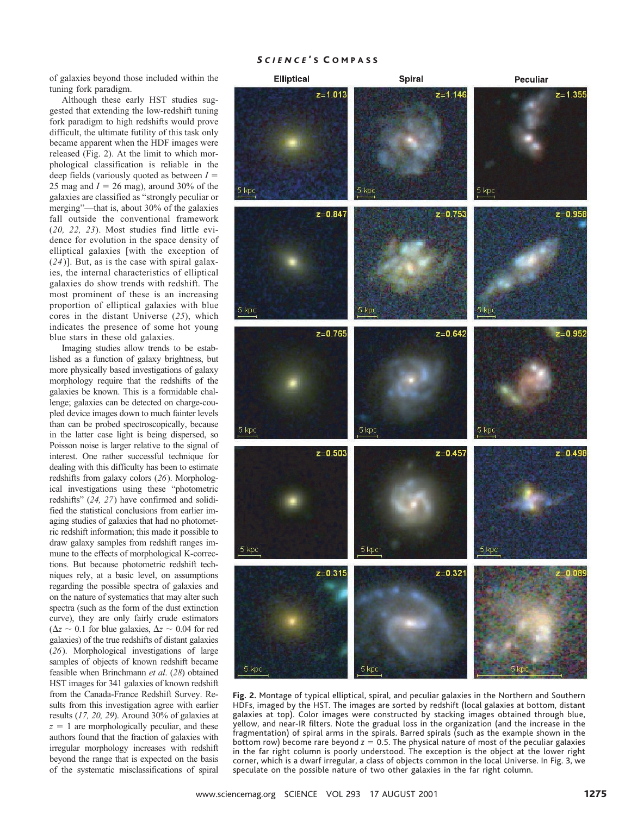## *S CIENCE* ' S C OMPASS

of galaxies beyond those included within the tuning fork paradigm.

Although these early HST studies suggested that extending the low-redshift tuning fork paradigm to high redshifts would prove difficult, the ultimate futility of this task only became apparent when the HDF images were released (Fig. 2). At the limit to which morphological classification is reliable in the deep fields (variously quoted as between  $I =$ 25 mag and  $I = 26$  mag), around 30% of the galaxies are classified as "strongly peculiar or merging"—that is, about 30% of the galaxies fall outside the conventional framework (*20, 22, 23*). Most studies find little evidence for evolution in the space density of elliptical galaxies [with the exception of (*24*)]. But, as is the case with spiral galaxies, the internal characteristics of elliptical galaxies do show trends with redshift. The most prominent of these is an increasing proportion of elliptical galaxies with blue cores in the distant Universe (*25*), which indicates the presence of some hot young blue stars in these old galaxies.

Imaging studies allow trends to be established as a function of galaxy brightness, but more physically based investigations of galaxy morphology require that the redshifts of the galaxies be known. This is a formidable challenge; galaxies can be detected on charge-coupled device images down to much fainter levels than can be probed spectroscopically, because in the latter case light is being dispersed, so Poisson noise is larger relative to the signal of interest. One rather successful technique for dealing with this difficulty has been to estimate redshifts from galaxy colors (*26*). Morphological investigations using these "photometric redshifts" (*24, 27*) have confirmed and solidified the statistical conclusions from earlier imaging studies of galaxies that had no photometric redshift information; this made it possible to draw galaxy samples from redshift ranges immune to the effects of morphological K-corrections. But because photometric redshift techniques rely, at a basic level, on assumptions regarding the possible spectra of galaxies and on the nature of systematics that may alter such spectra (such as the form of the dust extinction curve), they are only fairly crude estimators  $(\Delta z \sim 0.1$  for blue galaxies,  $\Delta z \sim 0.04$  for red galaxies) of the true redshifts of distant galaxies (*26*). Morphological investigations of large samples of objects of known redshift became feasible when Brinchmann *et al*. (*28*) obtained HST images for 341 galaxies of known redshift from the Canada-France Redshift Survey. Results from this investigation agree with earlier results (*17, 20, 29*). Around 30% of galaxies at  $z = 1$  are morphologically peculiar, and these authors found that the fraction of galaxies with irregular morphology increases with redshift beyond the range that is expected on the basis of the systematic misclassifications of spiral



**Fig. 2.** Montage of typical elliptical, spiral, and peculiar galaxies in the Northern and Southern HDFs, imaged by the HST. The images are sorted by redshift (local galaxies at bottom, distant galaxies at top). Color images were constructed by stacking images obtained through blue, yellow, and near-IR filters. Note the gradual loss in the organization (and the increase in the fragmentation) of spiral arms in the spirals. Barred spirals (such as the example shown in the **bottom row) become rare beyond** *z* = 0.5. The physical nature of most of the peculiar galaxies in the far right column is poorly understood. The exception is the object at the lower right corner, which is a dwarf irregular, a class of objects common in the local Universe. In Fig. 3, we speculate on the possible nature of two other galaxies in the far right column.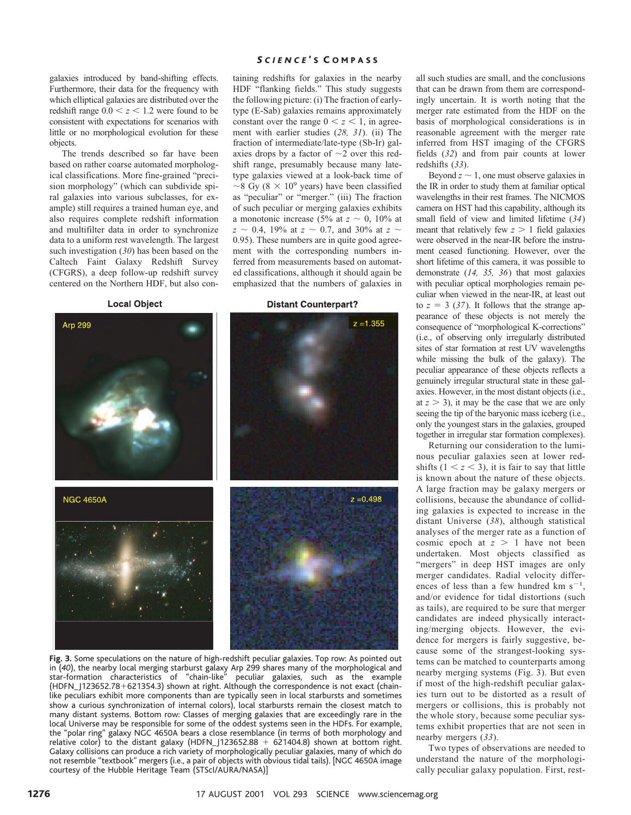galaxies introduced by band-shifting effects. Furthermore, their data for the frequency with which elliptical galaxies are distributed over the redshift range  $0.0 < z < 1.2$  were found to be consistent with expectations for scenarios with little or no morphological evolution for these objects.

The trends described so far have been based on rather coarse automated morphological classifications. More fine-grained "precision morphology" (which can subdivide spiral galaxies into various subclasses, for example) still requires a trained human eye, and also requires complete redshift information and multifilter data in order to synchronize data to a uniform rest wavelength. The largest such investigation (*30*) has been based on the Caltech Faint Galaxy Redshift Survey (CFGRS), a deep follow-up redshift survey centered on the Northern HDF, but also con-

**Local Object** 

#### *S CIENCE* ' S C OMPASS

taining redshifts for galaxies in the nearby HDF "flanking fields." This study suggests the following picture: (i) The fraction of earlytype (E-Sab) galaxies remains approximately constant over the range  $0 < z < 1$ , in agreement with earlier studies (*28, 31*). (ii) The fraction of intermediate/late-type (Sb-Ir) galaxies drops by a factor of  $\sim$ 2 over this redshift range, presumably because many latetype galaxies viewed at a look-back time of  $\sim$ 8 Gy (8  $\times$  10<sup>9</sup> years) have been classified as "peculiar" or "merger." (iii) The fraction of such peculiar or merging galaxies exhibits a monotonic increase (5% at  $z \sim 0$ , 10% at  $z \sim 0.4$ , 19% at  $z \sim 0.7$ , and 30% at  $z \sim$ 0.95). These numbers are in quite good agreement with the corresponding numbers inferred from measurements based on automated classifications, although it should again be emphasized that the numbers of galaxies in

**Distant Counterpart?** 



**Fig. 3.** Some speculations on the nature of high-redshift peculiar galaxies. Top row: As pointed out in (*40*), the nearby local merging starburst galaxy Arp 299 shares many of the morphological and star-formation characteristics of "chain-like" peculiar galaxies, such as the example (HDFN\_J123652.78+621354.3) shown at right. Although the correspondence is not exact (chainlike peculiars exhibit more components than are typically seen in local starbursts and sometimes show a curious synchronization of internal colors), local starbursts remain the closest match to many distant systems. Bottom row: Classes of merging galaxies that are exceedingly rare in the local Universe may be responsible for some of the oddest systems seen in the HDFs. For example, the "polar ring" galaxy NGC 4650A bears a close resemblance (in terms of both morphology and relative color) to the distant galaxy (HDFN\_J123652.88 + 621404.8) shown at bottom right. Galaxy collisions can produce a rich variety of morphologically peculiar galaxies, many of which do not resemble "textbook" mergers (i.e., a pair of objects with obvious tidal tails). [NGC 4650A image courtesy of the Hubble Heritage Team (STScI/AURA/NASA)]

all such studies are small, and the conclusions that can be drawn from them are correspondingly uncertain. It is worth noting that the merger rate estimated from the HDF on the basis of morphological considerations is in reasonable agreement with the merger rate inferred from HST imaging of the CFGRS fields (*32*) and from pair counts at lower redshifts (*33*).

Beyond  $z \sim 1$ , one must observe galaxies in the IR in order to study them at familiar optical wavelengths in their rest frames. The NICMOS camera on HST had this capability, although its small field of view and limited lifetime (*34*) meant that relatively few  $z > 1$  field galaxies were observed in the near-IR before the instrument ceased functioning. However, over the short lifetime of this camera, it was possible to demonstrate (*14, 35, 36*) that most galaxies with peculiar optical morphologies remain peculiar when viewed in the near-IR, at least out to  $z = 3$  (37). It follows that the strange appearance of these objects is not merely the consequence of "morphological K-corrections" (i.e., of observing only irregularly distributed sites of star formation at rest UV wavelengths while missing the bulk of the galaxy). The peculiar appearance of these objects reflects a genuinely irregular structural state in these galaxies. However, in the most distant objects (i.e., at  $z > 3$ ), it may be the case that we are only seeing the tip of the baryonic mass iceberg (i.e., only the youngest stars in the galaxies, grouped together in irregular star formation complexes).

Returning our consideration to the luminous peculiar galaxies seen at lower redshifts  $(1 < z < 3)$ , it is fair to say that little is known about the nature of these objects. A large fraction may be galaxy mergers or collisions, because the abundance of colliding galaxies is expected to increase in the distant Universe (*38*), although statistical analyses of the merger rate as a function of cosmic epoch at  $z > 1$  have not been undertaken. Most objects classified as "mergers" in deep HST images are only merger candidates. Radial velocity differences of less than a few hundred km  $s^{-1}$ , and/or evidence for tidal distortions (such as tails), are required to be sure that merger candidates are indeed physically interacting/merging objects. However, the evidence for mergers is fairly suggestive, because some of the strangest-looking systems can be matched to counterparts among nearby merging systems (Fig. 3). But even if most of the high-redshift peculiar galaxies turn out to be distorted as a result of mergers or collisions, this is probably not the whole story, because some peculiar systems exhibit properties that are not seen in nearby mergers (*33*).

Two types of observations are needed to understand the nature of the morphologically peculiar galaxy population. First, rest-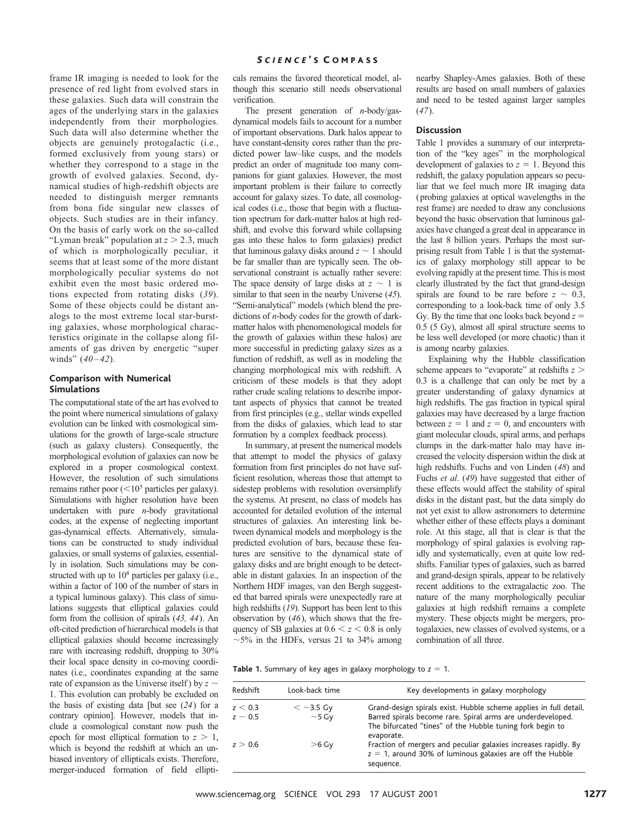### *S CIENCE* ' S C OMPASS

frame IR imaging is needed to look for the presence of red light from evolved stars in these galaxies. Such data will constrain the ages of the underlying stars in the galaxies independently from their morphologies. Such data will also determine whether the objects are genuinely protogalactic (i.e., formed exclusively from young stars) or whether they correspond to a stage in the growth of evolved galaxies. Second, dynamical studies of high-redshift objects are needed to distinguish merger remnants from bona fide singular new classes of objects. Such studies are in their infancy. On the basis of early work on the so-called "Lyman break" population at  $z > 2.3$ , much of which is morphologically peculiar, it seems that at least some of the more distant morphologically peculiar systems do not exhibit even the most basic ordered motions expected from rotating disks (*39*). Some of these objects could be distant analogs to the most extreme local star-bursting galaxies, whose morphological characteristics originate in the collapse along filaments of gas driven by energetic "super winds" (*40–42*).

# **Comparison with Numerical Simulations**

The computational state of the art has evolved to the point where numerical simulations of galaxy evolution can be linked with cosmological simulations for the growth of large-scale structure (such as galaxy clusters). Consequently, the morphological evolution of galaxies can now be explored in a proper cosmological context. However, the resolution of such simulations remains rather poor  $(<10^5$  particles per galaxy). Simulations with higher resolution have been undertaken with pure *n*-body gravitational codes, at the expense of neglecting important gas-dynamical effects. Alternatively, simulations can be constructed to study individual galaxies, or small systems of galaxies, essentially in isolation. Such simulations may be constructed with up to  $10^8$  particles per galaxy (i.e., within a factor of 100 of the number of stars in a typical luminous galaxy). This class of simulations suggests that elliptical galaxies could form from the collision of spirals (*43, 44*). An oft-cited prediction of hierarchical models is that elliptical galaxies should become increasingly rare with increasing redshift, dropping to 30% their local space density in co-moving coordinates (i.e., coordinates expanding at the same rate of expansion as the Universe itself ) by  $z \sim$ 1. This evolution can probably be excluded on

the basis of existing data [but see (*24*) for a contrary opinion]. However, models that include a cosmological constant now push the epoch for most elliptical formation to  $z > 1$ , which is beyond the redshift at which an unbiased inventory of ellipticals exists. Therefore, merger-induced formation of field ellipticals remains the favored theoretical model, although this scenario still needs observational verification.

The present generation of *n*-body/gasdynamical models fails to account for a number of important observations. Dark halos appear to have constant-density cores rather than the predicted power law–like cusps, and the models predict an order of magnitude too many companions for giant galaxies. However, the most important problem is their failure to correctly account for galaxy sizes. To date, all cosmological codes (i.e., those that begin with a fluctuation spectrum for dark-matter halos at high redshift, and evolve this forward while collapsing gas into these halos to form galaxies) predict that luminous galaxy disks around  $z \sim 1$  should be far smaller than are typically seen. The observational constraint is actually rather severe: The space density of large disks at  $z \sim 1$  is similar to that seen in the nearby Universe (*45*). "Semi-analytical" models (which blend the predictions of *n*-body codes for the growth of darkmatter halos with phenomenological models for the growth of galaxies within these halos) are more successful in predicting galaxy sizes as a function of redshift, as well as in modeling the changing morphological mix with redshift. A criticism of these models is that they adopt rather crude scaling relations to describe important aspects of physics that cannot be treated from first principles (e.g., stellar winds expelled from the disks of galaxies, which lead to star formation by a complex feedback process).

In summary, at present the numerical models that attempt to model the physics of galaxy formation from first principles do not have sufficient resolution, whereas those that attempt to sidestep problems with resolution oversimplify the systems. At present, no class of models has accounted for detailed evolution of the internal structures of galaxies. An interesting link between dynamical models and morphology is the predicted evolution of bars, because these features are sensitive to the dynamical state of galaxy disks and are bright enough to be detectable in distant galaxies. In an inspection of the Northern HDF images, van den Bergh suggested that barred spirals were unexpectedly rare at high redshifts (*19*). Support has been lent to this observation by (*46*), which shows that the frequency of SB galaxies at  $0.6 < z < 0.8$  is only  $\sim$ 5% in the HDFs, versus 21 to 34% among nearby Shapley-Ames galaxies. Both of these results are based on small numbers of galaxies and need to be tested against larger samples (*47*).

#### **Discussion**

Table 1 provides a summary of our interpretation of the "key ages" in the morphological development of galaxies to  $z = 1$ . Beyond this redshift, the galaxy population appears so peculiar that we feel much more IR imaging data (probing galaxies at optical wavelengths in the rest frame) are needed to draw any conclusions beyond the basic observation that luminous galaxies have changed a great deal in appearance in the last 8 billion years. Perhaps the most surprising result from Table 1 is that the systematics of galaxy morphology still appear to be evolving rapidly at the present time. This is most clearly illustrated by the fact that grand-design spirals are found to be rare before  $z \sim 0.3$ , corresponding to a look-back time of only 3.5 Gy. By the time that one looks back beyond  $z =$ 0.5 (5 Gy), almost all spiral structure seems to be less well developed (or more chaotic) than it is among nearby galaxies.

Explaining why the Hubble classification scheme appears to "evaporate" at redshifts  $z >$ 0.3 is a challenge that can only be met by a greater understanding of galaxy dynamics at high redshifts. The gas fraction in typical spiral galaxies may have decreased by a large fraction between  $z = 1$  and  $z = 0$ , and encounters with giant molecular clouds, spiral arms, and perhaps clumps in the dark-matter halo may have increased the velocity dispersion within the disk at high redshifts. Fuchs and von Linden (*48*) and Fuchs *et al*. (*49*) have suggested that either of these effects would affect the stability of spiral disks in the distant past, but the data simply do not yet exist to allow astronomers to determine whether either of these effects plays a dominant role. At this stage, all that is clear is that the morphology of spiral galaxies is evolving rapidly and systematically, even at quite low redshifts. Familiar types of galaxies, such as barred and grand-design spirals, appear to be relatively recent additions to the extragalactic zoo. The nature of the many morphologically peculiar galaxies at high redshift remains a complete mystery. These objects might be mergers, protogalaxies, new classes of evolved systems, or a combination of all three.

| Redshift     | Look-back time | Key developments in galaxy morphology                                                                                                        |
|--------------|----------------|----------------------------------------------------------------------------------------------------------------------------------------------|
| z < 0.3      | $<$ ~3.5 Gy    | Grand-design spirals exist. Hubble scheme applies in full detail.                                                                            |
| $z \sim 0.5$ | $~1$ – 5 Gy    | Barred spirals become rare. Spiral arms are underdeveloped.<br>The bifurcated "tines" of the Hubble tuning fork begin to<br>evaporate.       |
| z > 0.6      | $>6$ Gy        | Fraction of mergers and peculiar galaxies increases rapidly. By<br>$z = 1$ , around 30% of luminous galaxies are off the Hubble<br>sequence. |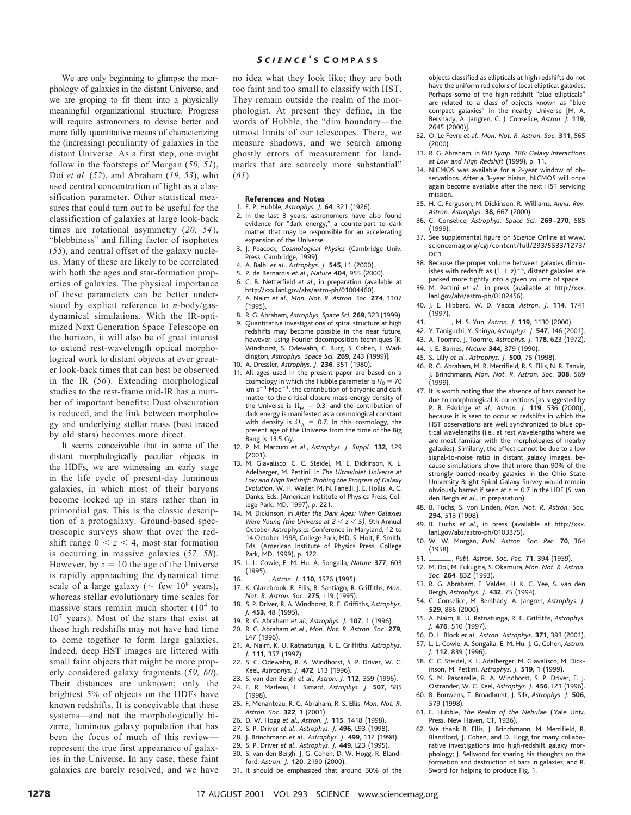We are only beginning to glimpse the morphology of galaxies in the distant Universe, and we are groping to fit them into a physically meaningful organizational structure. Progress will require astronomers to devise better and more fully quantitative means of characterizing the (increasing) peculiarity of galaxies in the distant Universe. As a first step, one might follow in the footsteps of Morgan (*50, 51*), Doi *et al*. (*52*), and Abraham (*19, 53*), who used central concentration of light as a classification parameter. Other statistical measures that could turn out to be useful for the classification of galaxies at large look-back times are rotational asymmetry (*20, 54*), "blobbiness" and filling factor of isophotes (*55*), and central offset of the galaxy nucleus. Many of these are likely to be correlated with both the ages and star-formation properties of galaxies. The physical importance of these parameters can be better understood by explicit reference to *n*-body/gasdynamical simulations. With the IR-optimized Next Generation Space Telescope on the horizon, it will also be of great interest to extend rest-wavelength optical morphological work to distant objects at ever greater look-back times that can best be observed in the IR (*56*). Extending morphological studies to the rest-frame mid-IR has a number of important benefits: Dust obscuration is reduced, and the link between morphology and underlying stellar mass (best traced by old stars) becomes more direct.

It seems conceivable that in some of the distant morphologically peculiar objects in the HDFs, we are witnessing an early stage in the life cycle of present-day luminous galaxies, in which most of their baryons become locked up in stars rather than in primordial gas. This is the classic description of a protogalaxy. Ground-based spectroscopic surveys show that over the redshift range  $0 < z < 4$ , most star formation is occurring in massive galaxies (*57, 58*). However, by  $z = 10$  the age of the Universe is rapidly approaching the dynamical time scale of a large galaxy ( $\sim$  few 10<sup>8</sup> years), whereas stellar evolutionary time scales for massive stars remain much shorter  $(10<sup>4</sup>$  to  $10<sup>7</sup>$  years). Most of the stars that exist at these high redshifts may not have had time to come together to form large galaxies. Indeed, deep HST images are littered with small faint objects that might be more properly considered galaxy fragments (*59, 60*). Their distances are unknown; only the brightest 5% of objects on the HDFs have known redshifts. It is conceivable that these systems—and not the morphologically bizarre, luminous galaxy population that has been the focus of much of this review represent the true first appearance of galaxies in the Universe. In any case, these faint galaxies are barely resolved, and we have

## *S CIENCE* ' S C OMPASS

no idea what they look like; they are both too faint and too small to classify with HST. They remain outside the realm of the morphologist. At present they define, in the words of Hubble, the "dim boundary—the utmost limits of our telescopes. There, we measure shadows, and we search among ghostly errors of measurement for landmarks that are scarcely more substantial" (*61*).

#### **References and Notes**

- 1. E. P. Hubble, *Astrophys. J.* **64**, 321 (1926).
- 2. In the last 3 years, astronomers have also found evidence for "dark energy," a counterpart to dark matter that may be responsible for an accelerating expansion of the Universe.
- 3. J. Peacock, *Cosmological Physics* (Cambridge Univ. Press, Cambridge, 1999).
- 4. A. Balbi *et al*., *Astrophys. J.* **545**, L1 (2000).
- 5. P. de Bernardis *et al*., *Nature* **404**, 955 (2000).
- 6. C. B. Netterfield *et al*., in preparation (available at
- http://xxx.lanl.gov/abs/astro-ph/01004460). 7. A. Naim *et al*., *Mon. Not. R. Astron. Soc.* **274**, 1107 (1995).
- 8. R. G. Abraham, *Astrophys. Space Sci.* **269**, 323 (1999).
- 9. Quantitative investigations of spiral structure at high redshifts may become possible in the near future, however, using Fourier decomposition techniques [R. Windhorst, S. Odewahn, C. Burg, S. Cohen, I. Waddington, *Astrophys. Space Sci.* **269**, 243 (1999)]. 10. A. Dressler, *Astrophys. J.* **236**, 351 (1980).
- 11. All ages used in the present paper are based on a cosmology in which the Hubble parameter is  $H_0 = 70$ km  $s^{-1}$  Mpc<sup>-1</sup>, the contribution of baryonic and dark matter to the critical closure mass-energy density of the Universe is  $\Omega_{\text{M}} = 0.3$ , and the contribution of dark energy is manifested as a cosmological constant with density is  $\Omega_{\Lambda} = 0.7$ . In this cosmology, the present age of the Universe from the time of the Big Bang is 13.5 Gy.
- 12. P. M. Marcum *et al*., *Astrophys. J. Suppl.* **132**, 129 (2001).
- 13. M. Giavalisco, C. C. Steidel, M. E. Dickinson, K. L. Adelberger, M. Pettini, in *The Ultraviolet Universe at Low and High Redshift: Probing the Progress of Galaxy Evolution,* W. H. Waller, M. N. Fanelli, J. E. Hollis, A. C. Danks, Eds. (American Institute of Physics Press, College Park, MD, 1997), p. 221.
- 14. M. Dickinson, in *After the Dark Ages: When Galaxies Were Young (the Universe at*  $2 < z < 5$ *), 9th Annual* October Astrophysics Conference in Maryland, 12 to 14 October 1998, College Park, MD, S. Holt, E. Smith, Eds. (American Institute of Physics Press, College Park, MD, 1999), p. 122.
- 15. L. L. Cowie, E. M. Hu, A. Songaila, *Nature* **377**, 603 (1995).
- 16. **iii.** *Astron. J.* **110**, 1576 (1995).
- 17. K. Glazebrook, R. Ellis, B. Santiago, R. Griffiths, *Mon. Not. R. Astron. Soc.* **275**, L19 (1995).
- 18. S. P. Driver, R. A. Windhorst, R. E. Griffiths, *Astrophys. J.* **453**, 48 (1995).
- 19. R. G. Abraham *et al*., *Astrophys. J.* **107**, 1 (1996).
- 20. R. G. Abraham *et al*., *Mon. Not. R. Astron. Soc.* **279**, L47 (1996).
- 21. A. Naim, K. U. Ratnatunga, R. E. Griffiths, *Astrophys. J.* **111**, 357 (1997).
- 22. S. C. Odewahn, R. A. Windhorst, S. P. Driver, W. C. Keel, *Astrophys. J.* **472**, L13 (1996).
- 23. S. van den Bergh *et al*., *Astron. J.* **112**, 359 (1996). 24. F. R. Marleau, L. Simard, *Astrophys. J.* **507**, 585 (1998).
- 25. F. Menanteau, R. G. Abraham, R. S. Ellis, *Mon. Not. R. Astron. Soc.* **322**, 1 (2001).
- 26. D. W. Hogg *et al*., *Astron. J.* **115**, 1418 (1998).
- 27. S. P. Driver *et al*., *Astrophys. J.* **496**, L93 (1998).
- 28. J. Brinchmann *et al*., *Astrophys. J.* **499**, 112 (1998).
- 29. S. P. Driver *et al*., *Astrophys. J.* **449**, L23 (1995). 30. S. van den Bergh, J. G. Cohen, D. W. Hogg, R. Bland-
- ford, *Astron. J.* **120**, 2190 (2000).
- 31. It should be emphasized that around 30% of the

objects classified as ellipticals at high redshifts do not have the uniform red colors of local elliptical galaxies. Perhaps some of the high-redshift "blue ellipticals" are related to a class of objects known as "blue compact galaxies" in the nearby Universe [M. A. Bershady, A. Jangren, C. J. Conselice, *Astron. J.* **119**, 2645 (2000)].

- 32. O. Le Fevre *et al*., *Mon. Not. R. Astron. Soc.* **311**, 565 (2000).
- 33. R. G. Abraham, in *IAU Symp. 186: Galaxy Interactions at Low and High Redshift* (1999), p. 11.
- 34. NICMOS was available for a 2-year window of observations. After a 3-year hiatus, NICMOS will once again become available after the next HST servicing mission.
- 35. H. C. Ferguson, M. Dickinson, R. Williams, *Annu. Rev. Astron. Astrophys.* **38**, 667 (2000).
- 36. C. Conselice, *Astrophys. Space Sci.* **269 –270**, 585 (1999).
- 37. See supplemental figure on *Science* Online at www. sciencemag.org/cgi/content/full/293/5533/1273/  $DC1$
- 38. Because the proper volume between galaxies diminishes with redshift as  $(1 + z)^{-3}$ , distant galaxies are packed more tightly into a given volume of space.
- 39. M. Pettini *et al*., in press (available at http://xxx. lanl.gov/abs/astro-ph/0102456).
- 40. J. E. Hibbard, W. D. Vacca, *Astron. J.* **114**, 1741 (1997).
- 41. **iii.** M. S. Yun, Astron. J. 119, 1130 (2000).
- 42. Y. Taniguchi, Y. Shioya, *Astrophys. J.* **547**, 146 (2001).
- 43. A. Toomre, J. Toomre, *Astrophys. J.* **178**, 623 (1972).
- 44. J. E. Barnes, *Nature* **344**, 379 (1990).
- 45. S. Lilly *et al*., *Astrophys. J.* **500**, 75 (1998).
- 46. R. G. Abraham, M. R. Merrifield, R. S. Ellis, N. R. Tanvir, J. Brinchmann, *Mon. Not. R. Astron. Soc.* **308**, 569 (1999).
- 47. It is worth noting that the absence of bars cannot be due to morphological K-corrections [as suggested by P. B. Eskridge *et al*., *Astron. J.* **119**, 536 (2000)], because it is seen to occur at redshifts in which the HST observations are well synchronized to blue optical wavelengths (i.e., at rest wavelengths where we are most familiar with the morphologies of nearby galaxies). Similarly, the effect cannot be due to a low signal-to-noise ratio in distant galaxy images, because simulations show that more than 90% of the strongly barred nearby galaxies in the Ohio State University Bright Spiral Galaxy Survey would remain obviously barred if seen at  $z = 0.7$  in the HDF (S. van den Bergh *et al*., in preparation).
- 48. B. Fuchs, S. von Linden, *Mon. Not. R. Astron. Soc.* **294**, 513 (1998).
- 49. B. Fuchs *et al*., in press (available at http://xxx. lanl.gov/abs/astro-ph/0103375).
- 50. W. W. Morgan, *Publ. Astron. Soc. Pac.* **70**, 364 (1958).
- 51. \_\_\_\_\_\_\_, Publ. Astron. Soc. Pac. 71, 394 (1959).
- 52. M. Doi, M. Fukugita, S. Okamura, *Mon. Not. R. Astron. Soc.* **264**, 832 (1993).
- 53. R. G. Abraham, F. Valdes, H. K. C. Yee, S. van den Bergh, *Astrophys. J.* **432**, 75 (1994).
- 54. C. Conselice, M. Bershady, A. Jangren, *Astrophys. J.* **529**, 886 (2000).
- 55. A. Naim, K. U. Ratnatunga, R. E. Griffiths, *Astrophys. J.* **476**, 510 (1997).
- 56. D. L. Block *et al*., *Astron. Astrophys.* **371**, 393 (2001).
- 57. L. L. Cowie, A. Songaila, E. M. Hu, J. G. Cohen, *Astron. J.* **112**, 839 (1996).
- 58. C. C. Steidel, K. L. Adelberger, M. Giavalisco, M. Dickinson, M. Pettini, *Astrophys. J.* **519**, 1 (1999).
- 59. S. M. Pascarelle, R. A. Windhorst, S. P. Driver, E. J. Ostrander, W. C. Keel, *Astrophys. J.* **456**, L21 (1996).
- 60. R. Bouwens, T. Broadhurst, J. Silk, *Astrophys. J.* **506**, 579 (1998).
- 61. E. Hubble, *The Realm of the Nebulae* ( Yale Univ. Press, New Haven, CT, 1936).
- 62. We thank R. Ellis, J. Brinchmann, M. Merrifield, R. Blandford, J. Cohen, and D. Hogg for many collaborative investigations into high-redshift galaxy morphology; J. Sellwood for sharing his thoughts on the formation and destruction of bars in galaxies; and R. Sword for helping to produce Fig. 1.